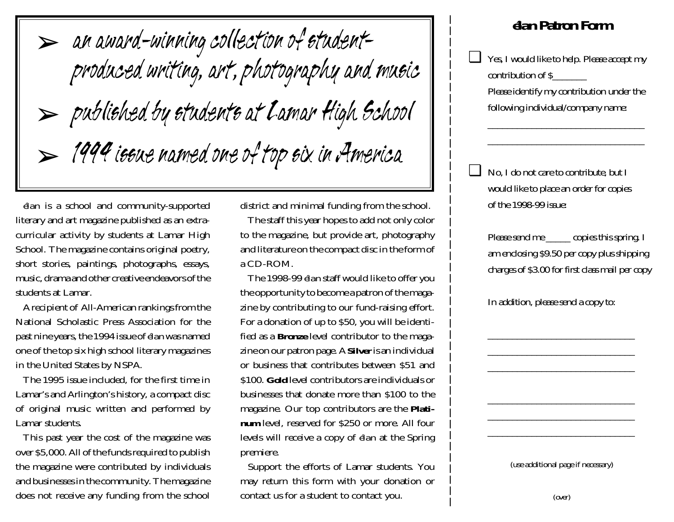➢ an award-winning collection of studentproduced writing, art, photography and music ➢ published by students at Lamar High School  $>$  1994 issue named one of top six in America

*élan* is a school and community-supported literary and art magazine published as an extracurricular activity by students at Lamar High School. The magazine contains original poetry, short stories, paintings, photographs, essays, music, drama and other creative endeavors of the students at Lamar.

A recipient of All-American rankings from the National Scholastic Press Association for the past nine years, the 1994 issue of *élan* was named one of the top six high school literary magazines in the United States by NSPA.

The 1995 issue included, for the first time in Lamar's and Arlington's history, a compact disc of original music written and performed by Lamar students.

This past year the cost of the magazine was over \$5,000. All of the funds required to publish the magazine were contributed by individuals and businesses in the community. The magazine does not receive any funding from the school district and minimal funding from the school.

The staff this year hopes to add not only color to the magazine, but provide art, photography and literature on the compact disc in the form of a CD-ROM.

The 1998-99 *élan* staff would like to offer you the opportunity to become a patron of the magazine by contributing to our fund-raising effort. For a donation of up to \$50, you will be identified as a *Bronze* level contributor to the magazine on our patron page. A *Silver* is an individual or business that contributes between \$51 and \$100. *Gold* level contributors are individuals or businesses that donate more than \$100 to the magazine. Our top contributors are the *Platinum* level, reserved for \$250 or more. All four levels will receive a copy of *élan* at the Spring premiere.

Support the efforts of Lamar students. You may return this form with your donation or contact us for a student to contact you.

## *élan* **Patron Form**

❏ Yes, I would like to help. Please accept my contribution of \$\_\_\_\_\_\_\_ Please identify my contribution under the following individual/company name:

> $\overline{\phantom{a}}$  , and the contribution of the contribution of the contribution of the contribution of the contribution of the contribution of the contribution of the contribution of the contribution of the contribution of the \_\_\_\_\_\_\_\_\_\_\_\_\_\_\_\_\_\_\_\_\_\_\_\_\_\_\_\_\_\_\_\_

❏ No, I do not care to contribute, but I would like to place an order for copies of the 1998-99 issue:

Please send me \_\_\_\_\_\_ copies this spring. I am enclosing \$9.50 per copy plus shipping charges of \$3.00 for first class mail per copy

In addition, please send a copy to:

\_\_\_\_\_\_\_\_\_\_\_\_\_\_\_\_\_\_\_\_\_\_\_\_\_\_\_\_\_\_ \_\_\_\_\_\_\_\_\_\_\_\_\_\_\_\_\_\_\_\_\_\_\_\_\_\_\_\_\_\_  $\overline{\phantom{a}}$  , and the contribution of the contribution of the contribution of the contribution of the contribution of the contribution of the contribution of the contribution of the contribution of the contribution of the

(use additional page if necessary)

\_\_\_\_\_\_\_\_\_\_\_\_\_\_\_\_\_\_\_\_\_\_\_\_\_\_\_\_\_\_  $\overline{\phantom{a}}$  , and the contribution of the contribution of the contribution of the contribution of the contribution of the contribution of the contribution of the contribution of the contribution of the contribution of the \_\_\_\_\_\_\_\_\_\_\_\_\_\_\_\_\_\_\_\_\_\_\_\_\_\_\_\_\_\_